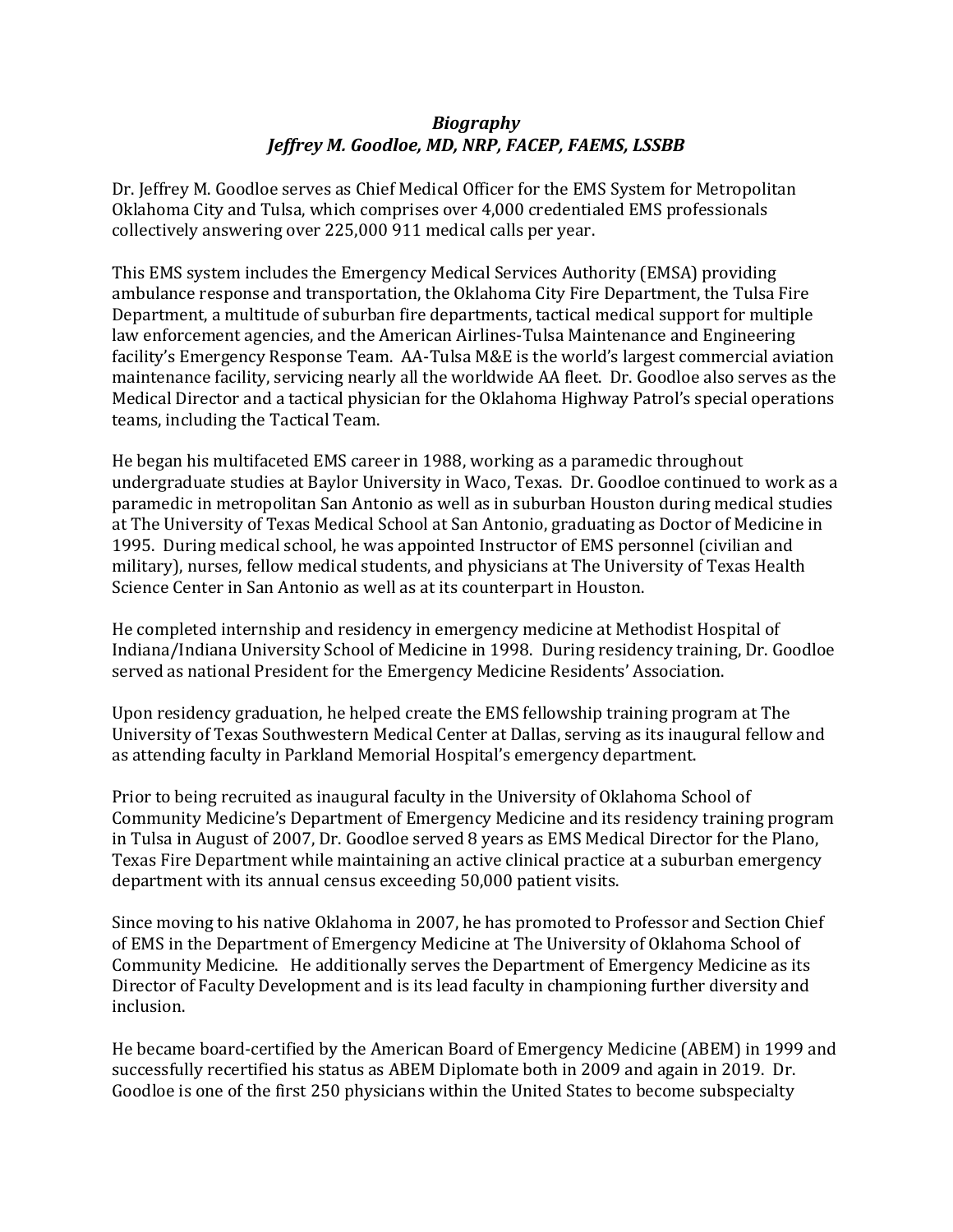## *Biography Jeffrey M. Goodloe, MD, NRP, FACEP, FAEMS, LSSBB*

Dr. Jeffrey M. Goodloe serves as Chief Medical Officer for the EMS System for Metropolitan Oklahoma City and Tulsa, which comprises over 4,000 credentialed EMS professionals collectively answering over 225,000 911 medical calls per year.

This EMS system includes the Emergency Medical Services Authority (EMSA) providing ambulance response and transportation, the Oklahoma City Fire Department, the Tulsa Fire Department, a multitude of suburban fire departments, tactical medical support for multiple law enforcement agencies, and the American Airlines-Tulsa Maintenance and Engineering facility's Emergency Response Team. AA-Tulsa M&E is the world's largest commercial aviation maintenance facility, servicing nearly all the worldwide AA fleet. Dr. Goodloe also serves as the Medical Director and a tactical physician for the Oklahoma Highway Patrol's special operations teams, including the Tactical Team.

He began his multifaceted EMS career in 1988, working as a paramedic throughout undergraduate studies at Baylor University in Waco, Texas. Dr. Goodloe continued to work as a paramedic in metropolitan San Antonio as well as in suburban Houston during medical studies at The University of Texas Medical School at San Antonio, graduating as Doctor of Medicine in 1995. During medical school, he was appointed Instructor of EMS personnel (civilian and military), nurses, fellow medical students, and physicians at The University of Texas Health Science Center in San Antonio as well as at its counterpart in Houston.

He completed internship and residency in emergency medicine at Methodist Hospital of Indiana/Indiana University School of Medicine in 1998. During residency training, Dr. Goodloe served as national President for the Emergency Medicine Residents' Association.

Upon residency graduation, he helped create the EMS fellowship training program at The University of Texas Southwestern Medical Center at Dallas, serving as its inaugural fellow and as attending faculty in Parkland Memorial Hospital's emergency department.

Prior to being recruited as inaugural faculty in the University of Oklahoma School of Community Medicine's Department of Emergency Medicine and its residency training program in Tulsa in August of 2007, Dr. Goodloe served 8 years as EMS Medical Director for the Plano, Texas Fire Department while maintaining an active clinical practice at a suburban emergency department with its annual census exceeding 50,000 patient visits.

Since moving to his native Oklahoma in 2007, he has promoted to Professor and Section Chief of EMS in the Department of Emergency Medicine at The University of Oklahoma School of Community Medicine. He additionally serves the Department of Emergency Medicine as its Director of Faculty Development and is its lead faculty in championing further diversity and inclusion.

He became board-certified by the American Board of Emergency Medicine (ABEM) in 1999 and successfully recertified his status as ABEM Diplomate both in 2009 and again in 2019. Dr. Goodloe is one of the first 250 physicians within the United States to become subspecialty